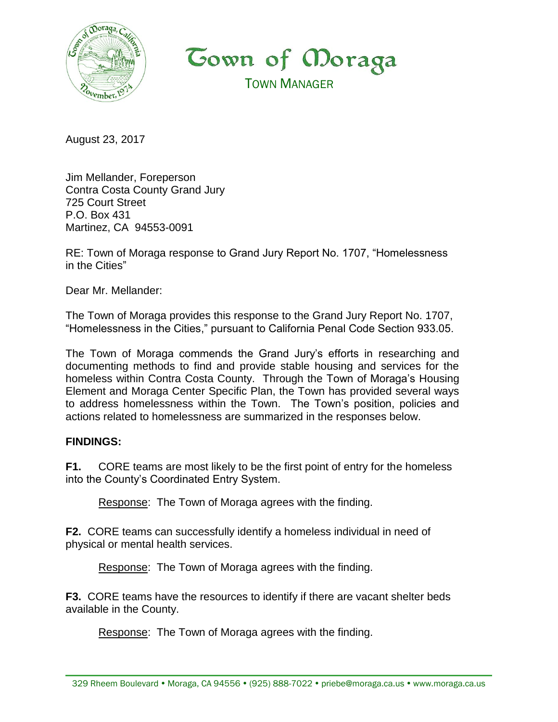

**Cown of Moraga** TOWN MANAGER

August 23, 2017

Jim Mellander, Foreperson Contra Costa County Grand Jury 725 Court Street P.O. Box 431 Martinez, CA 94553-0091

RE: Town of Moraga response to Grand Jury Report No. 1707, "Homelessness in the Cities"

Dear Mr. Mellander:

The Town of Moraga provides this response to the Grand Jury Report No. 1707, "Homelessness in the Cities," pursuant to California Penal Code Section 933.05.

The Town of Moraga commends the Grand Jury's efforts in researching and documenting methods to find and provide stable housing and services for the homeless within Contra Costa County. Through the Town of Moraga's Housing Element and Moraga Center Specific Plan, the Town has provided several ways to address homelessness within the Town. The Town's position, policies and actions related to homelessness are summarized in the responses below.

## **FINDINGS:**

**F1.** CORE teams are most likely to be the first point of entry for the homeless into the County's Coordinated Entry System.

Response: The Town of Moraga agrees with the finding.

**F2.** CORE teams can successfully identify a homeless individual in need of physical or mental health services.

Response: The Town of Moraga agrees with the finding.

**F3.** CORE teams have the resources to identify if there are vacant shelter beds available in the County.

Response: The Town of Moraga agrees with the finding.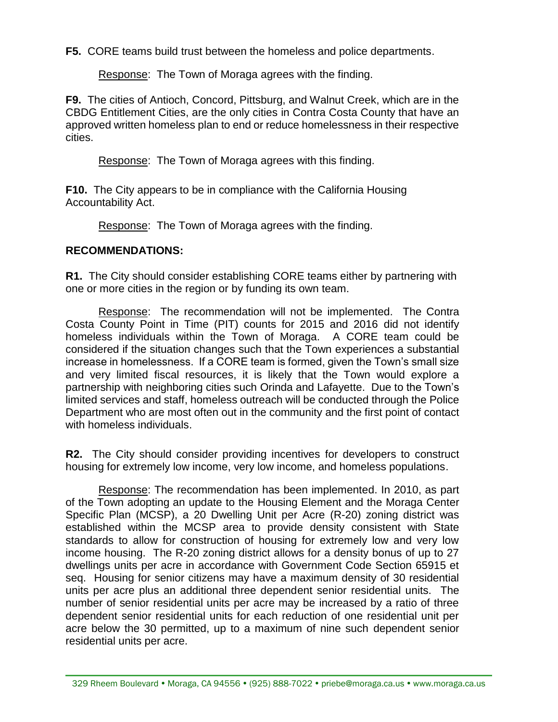**F5.** CORE teams build trust between the homeless and police departments.

Response: The Town of Moraga agrees with the finding.

**F9.** The cities of Antioch, Concord, Pittsburg, and Walnut Creek, which are in the CBDG Entitlement Cities, are the only cities in Contra Costa County that have an approved written homeless plan to end or reduce homelessness in their respective cities.

Response: The Town of Moraga agrees with this finding.

**F10.** The City appears to be in compliance with the California Housing Accountability Act.

Response: The Town of Moraga agrees with the finding.

## **RECOMMENDATIONS:**

**R1.** The City should consider establishing CORE teams either by partnering with one or more cities in the region or by funding its own team.

Response: The recommendation will not be implemented. The Contra Costa County Point in Time (PIT) counts for 2015 and 2016 did not identify homeless individuals within the Town of Moraga. A CORE team could be considered if the situation changes such that the Town experiences a substantial increase in homelessness. If a CORE team is formed, given the Town's small size and very limited fiscal resources, it is likely that the Town would explore a partnership with neighboring cities such Orinda and Lafayette. Due to the Town's limited services and staff, homeless outreach will be conducted through the Police Department who are most often out in the community and the first point of contact with homeless individuals.

**R2.** The City should consider providing incentives for developers to construct housing for extremely low income, very low income, and homeless populations.

Response: The recommendation has been implemented. In 2010, as part of the Town adopting an update to the Housing Element and the Moraga Center Specific Plan (MCSP), a 20 Dwelling Unit per Acre (R-20) zoning district was established within the MCSP area to provide density consistent with State standards to allow for construction of housing for extremely low and very low income housing. The R-20 zoning district allows for a density bonus of up to 27 dwellings units per acre in accordance with Government Code Section 65915 et seq. Housing for senior citizens may have a maximum density of 30 residential units per acre plus an additional three dependent senior residential units. The number of senior residential units per acre may be increased by a ratio of three dependent senior residential units for each reduction of one residential unit per acre below the 30 permitted, up to a maximum of nine such dependent senior residential units per acre.